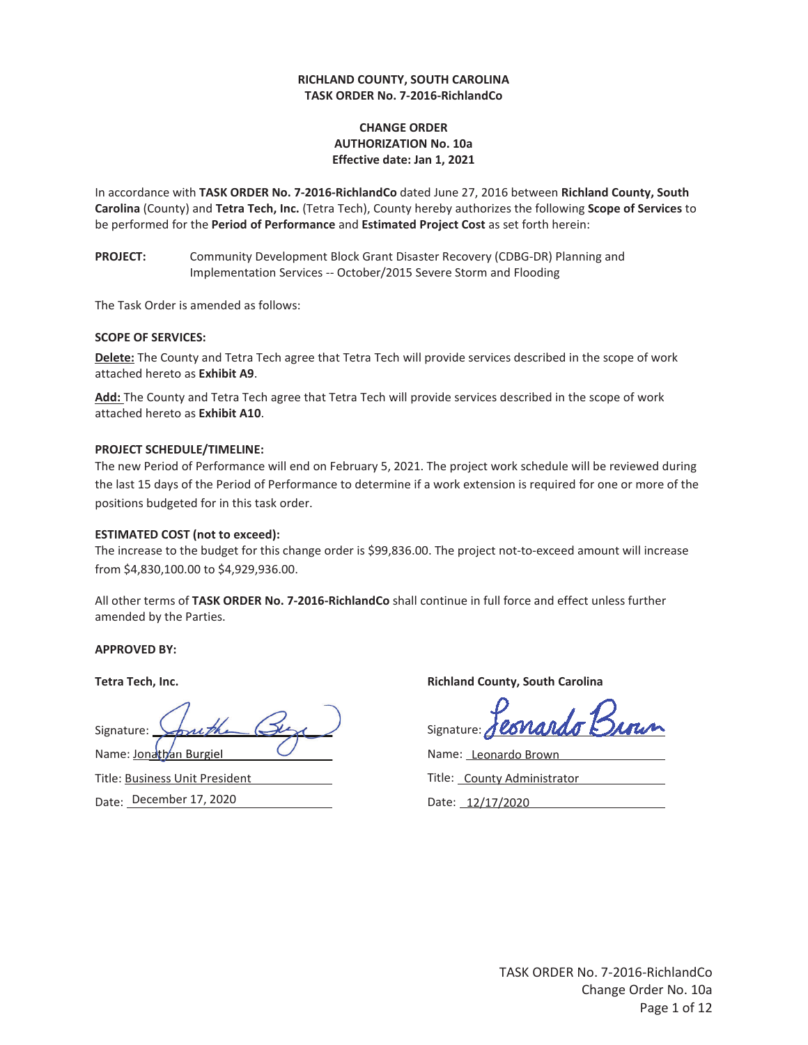#### **RICHLAND COUNTY, SOUTH CAROLINA TASK ORDER No. 7-2016-RichlandCo**

#### **CHANGE ORDER AUTHORIZATION No. 10a Effective date: Jan 1, 2021**

In accordance with **TASK ORDER No. 7-2016-RichlandCo** dated June 27, 2016 between **Richland County, South Carolina** (County) and **Tetra Tech, Inc.** (Tetra Tech), County hereby authorizes the following **Scope of Services** to be performed for the **Period of Performance** and **Estimated Project Cost** as set forth herein:

**PROJECT:** Community Development Block Grant Disaster Recovery (CDBG-DR) Planning and Implementation Services -- October/2015 Severe Storm and Flooding

The Task Order is amended as follows:

#### **SCOPE OF SERVICES:**

**Delete:** The County and Tetra Tech agree that Tetra Tech will provide services described in the scope of work attached hereto as **Exhibit A9**.

**Add:** The County and Tetra Tech agree that Tetra Tech will provide services described in the scope of work attached hereto as **Exhibit A10**.

#### **PROJECT SCHEDULE/TIMELINE:**

The new Period of Performance will end on February 5, 2021. The project work schedule will be reviewed during the last 15 days of the Period of Performance to determine if a work extension is required for one or more of the positions budgeted for in this task order.

#### **ESTIMATED COST (not to exceed):**

The increase to the budget for this change order is \$99,836.00. The project not-to-exceed amount will increase from \$4,830,100.00 to \$4,929,936.00.

All other terms of **TASK ORDER No. 7-2016-RichlandCo** shall continue in full force and effect unless further amended by the Parties.

**APPROVED BY:** 

Signature: Signature: Shruth<br>Name: <u>Jonathan Burgiel</u>

Title: Business Unit President Date: December 17, 2020

**Tetra Tech, Inc. Richland County, South Carolina and South Carolina and South Carolina and South Carolina and South Carolina and South Carolina and South Carolina and South Carolina and South Carolina and South Carolina** 

Signature:

Name: Leonardo Brown Title: County Administrator

Date: 12/17/2020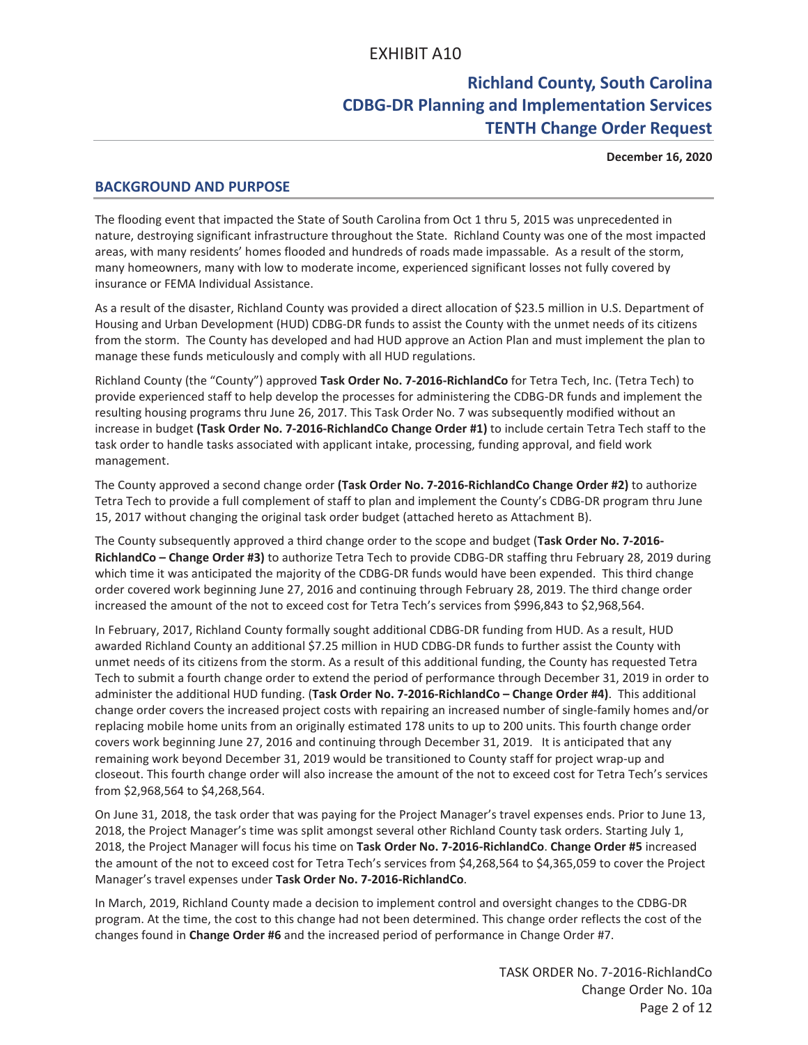# **Richland County, South Carolina CDBG-DR Planning and Implementation Services TENTH Change Order Request**

**December 16, 2020**

## **BACKGROUND AND PURPOSE**

The flooding event that impacted the State of South Carolina from Oct 1 thru 5, 2015 was unprecedented in nature, destroying significant infrastructure throughout the State. Richland County was one of the most impacted areas, with many residents' homes flooded and hundreds of roads made impassable. As a result of the storm, many homeowners, many with low to moderate income, experienced significant losses not fully covered by insurance or FEMA Individual Assistance.

As a result of the disaster, Richland County was provided a direct allocation of \$23.5 million in U.S. Department of Housing and Urban Development (HUD) CDBG-DR funds to assist the County with the unmet needs of its citizens from the storm. The County has developed and had HUD approve an Action Plan and must implement the plan to manage these funds meticulously and comply with all HUD regulations.

Richland County (the "County") approved **Task Order No. 7-2016-RichlandCo** for Tetra Tech, Inc. (Tetra Tech) to provide experienced staff to help develop the processes for administering the CDBG-DR funds and implement the resulting housing programs thru June 26, 2017. This Task Order No. 7 was subsequently modified without an increase in budget **(Task Order No. 7-2016-RichlandCo Change Order #1)** to include certain Tetra Tech staff to the task order to handle tasks associated with applicant intake, processing, funding approval, and field work management.

The County approved a second change order **(Task Order No. 7-2016-RichlandCo Change Order #2)** to authorize Tetra Tech to provide a full complement of staff to plan and implement the County's CDBG-DR program thru June 15, 2017 without changing the original task order budget (attached hereto as Attachment B).

The County subsequently approved a third change order to the scope and budget (**Task Order No. 7-2016- RichlandCo – Change Order #3)** to authorize Tetra Tech to provide CDBG-DR staffing thru February 28, 2019 during which time it was anticipated the majority of the CDBG-DR funds would have been expended. This third change order covered work beginning June 27, 2016 and continuing through February 28, 2019. The third change order increased the amount of the not to exceed cost for Tetra Tech's services from \$996,843 to \$2,968,564.

In February, 2017, Richland County formally sought additional CDBG-DR funding from HUD. As a result, HUD awarded Richland County an additional \$7.25 million in HUD CDBG-DR funds to further assist the County with unmet needs of its citizens from the storm. As a result of this additional funding, the County has requested Tetra Tech to submit a fourth change order to extend the period of performance through December 31, 2019 in order to administer the additional HUD funding. (**Task Order No. 7-2016-RichlandCo – Change Order #4)**. This additional change order covers the increased project costs with repairing an increased number of single-family homes and/or replacing mobile home units from an originally estimated 178 units to up to 200 units. This fourth change order covers work beginning June 27, 2016 and continuing through December 31, 2019. It is anticipated that any remaining work beyond December 31, 2019 would be transitioned to County staff for project wrap-up and closeout. This fourth change order will also increase the amount of the not to exceed cost for Tetra Tech's services from \$2,968,564 to \$4,268,564.

On June 31, 2018, the task order that was paying for the Project Manager's travel expenses ends. Prior to June 13, 2018, the Project Manager's time was split amongst several other Richland County task orders. Starting July 1, 2018, the Project Manager will focus his time on **Task Order No. 7-2016-RichlandCo**. **Change Order #5** increased the amount of the not to exceed cost for Tetra Tech's services from \$4,268,564 to \$4,365,059 to cover the Project Manager's travel expenses under **Task Order No. 7-2016-RichlandCo**.

In March, 2019, Richland County made a decision to implement control and oversight changes to the CDBG-DR program. At the time, the cost to this change had not been determined. This change order reflects the cost of the changes found in **Change Order #6** and the increased period of performance in Change Order #7.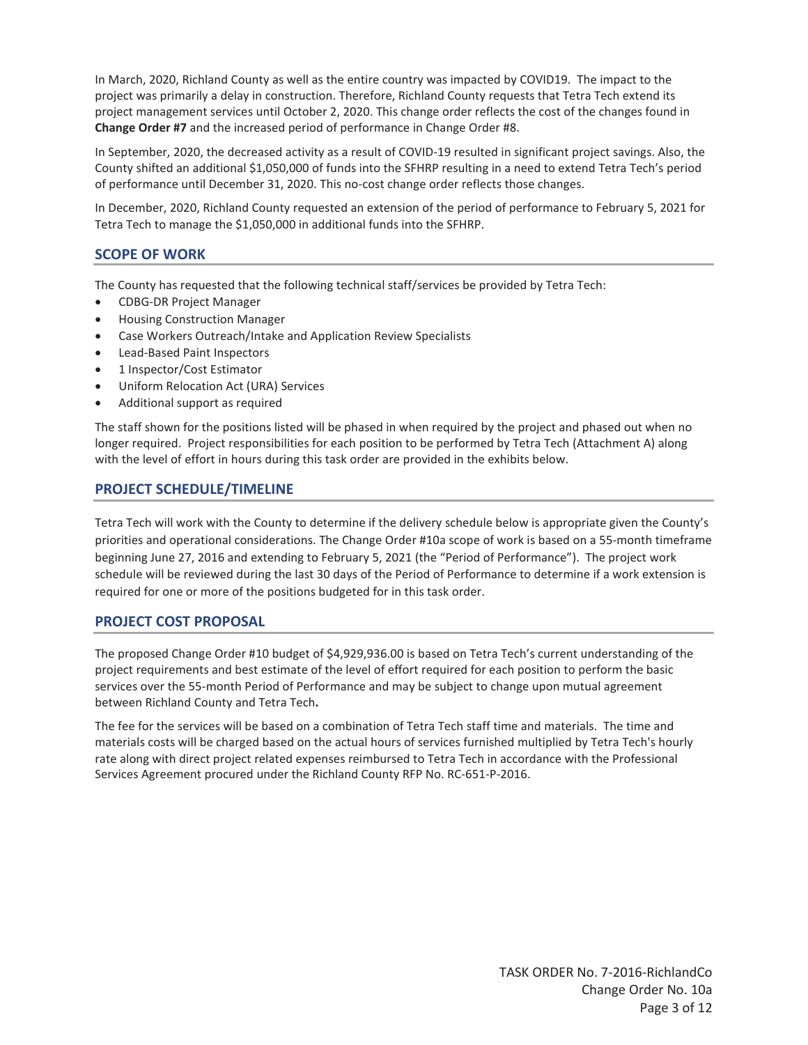In March, 2020, Richland County as well as the entire country was impacted by COVID19. The impact to the project was primarily a delay in construction. Therefore, Richland County requests that Tetra Tech extend its project management services until October 2, 2020. This change order reflects the cost of the changes found in **Change Order #7** and the increased period of performance in Change Order #8.

In September, 2020, the decreased activity as a result of COVID-19 resulted in significant project savings. Also, the County shifted an additional \$1,050,000 of funds into the SFHRP resulting in a need to extend Tetra Tech's period of performance until December 31, 2020. This no-cost change order reflects those changes.

In December, 2020, Richland County requested an extension of the period of performance to February 5, 2021 for Tetra Tech to manage the \$1,050,000 in additional funds into the SFHRP.

## **SCOPE OF WORK**

The County has requested that the following technical staff/services be provided by Tetra Tech:

- CDBG-DR Project Manager
- Housing Construction Manager
- Case Workers Outreach/Intake and Application Review Specialists
- Lead-Based Paint Inspectors
- 1 Inspector/Cost Estimator
- Uniform Relocation Act (URA) Services
- Additional support as required

The staff shown for the positions listed will be phased in when required by the project and phased out when no longer required. Project responsibilities for each position to be performed by Tetra Tech (Attachment A) along with the level of effort in hours during this task order are provided in the exhibits below.

## **PROJECT SCHEDULE/TIMELINE**

Tetra Tech will work with the County to determine if the delivery schedule below is appropriate given the County's priorities and operational considerations. The Change Order #10a scope of work is based on a 55-month timeframe beginning June 27, 2016 and extending to February 5, 2021 (the "Period of Performance"). The project work schedule will be reviewed during the last 30 days of the Period of Performance to determine if a work extension is required for one or more of the positions budgeted for in this task order.

## **PROJECT COST PROPOSAL**

The proposed Change Order #10 budget of \$4,929,936.00 is based on Tetra Tech's current understanding of the project requirements and best estimate of the level of effort required for each position to perform the basic services over the 55-month Period of Performance and may be subject to change upon mutual agreement between Richland County and Tetra Tech**.** 

The fee for the services will be based on a combination of Tetra Tech staff time and materials. The time and materials costs will be charged based on the actual hours of services furnished multiplied by Tetra Tech's hourly rate along with direct project related expenses reimbursed to Tetra Tech in accordance with the Professional Services Agreement procured under the Richland County RFP No. RC-651-P-2016.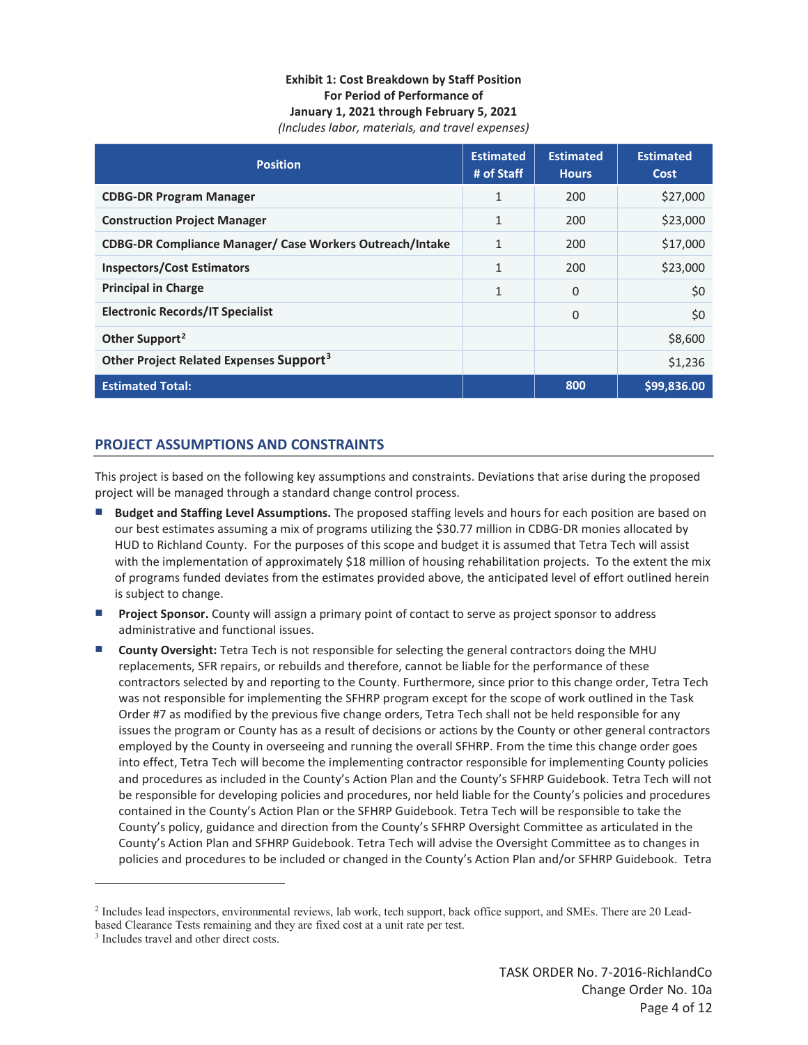#### **Exhibit 1: Cost Breakdown by Staff Position For Period of Performance of January 1, 2021 through February 5, 2021**  *(Includes labor, materials, and travel expenses)*

| <b>Position</b>                                                 | <b>Estimated</b><br># of Staff | <b>Estimated</b><br><b>Hours</b> | <b>Estimated</b><br>Cost |
|-----------------------------------------------------------------|--------------------------------|----------------------------------|--------------------------|
| <b>CDBG-DR Program Manager</b>                                  | $\mathbf{1}$                   | 200                              | \$27,000                 |
| <b>Construction Project Manager</b>                             | 1                              | 200                              | \$23,000                 |
| <b>CDBG-DR Compliance Manager/ Case Workers Outreach/Intake</b> | 1                              | 200                              | \$17,000                 |
| <b>Inspectors/Cost Estimators</b>                               | $\mathbf{1}$                   | 200                              | \$23,000                 |
| <b>Principal in Charge</b>                                      | 1                              | $\Omega$                         | \$0                      |
| <b>Electronic Records/IT Specialist</b>                         |                                | 0                                | \$0                      |
| Other Support <sup>2</sup>                                      |                                |                                  | \$8,600                  |
| Other Project Related Expenses Support <sup>3</sup>             |                                |                                  | \$1,236                  |
| <b>Estimated Total:</b>                                         |                                | 800                              | \$99,836.00              |

## **PROJECT ASSUMPTIONS AND CONSTRAINTS**

This project is based on the following key assumptions and constraints. Deviations that arise during the proposed project will be managed through a standard change control process.

- **Budget and Staffing Level Assumptions.** The proposed staffing levels and hours for each position are based on our best estimates assuming a mix of programs utilizing the \$30.77 million in CDBG-DR monies allocated by HUD to Richland County. For the purposes of this scope and budget it is assumed that Tetra Tech will assist with the implementation of approximately \$18 million of housing rehabilitation projects. To the extent the mix of programs funded deviates from the estimates provided above, the anticipated level of effort outlined herein is subject to change.
- **Project Sponsor.** County will assign a primary point of contact to serve as project sponsor to address administrative and functional issues.
- **County Oversight:** Tetra Tech is not responsible for selecting the general contractors doing the MHU replacements, SFR repairs, or rebuilds and therefore, cannot be liable for the performance of these contractors selected by and reporting to the County. Furthermore, since prior to this change order, Tetra Tech was not responsible for implementing the SFHRP program except for the scope of work outlined in the Task Order #7 as modified by the previous five change orders, Tetra Tech shall not be held responsible for any issues the program or County has as a result of decisions or actions by the County or other general contractors employed by the County in overseeing and running the overall SFHRP. From the time this change order goes into effect, Tetra Tech will become the implementing contractor responsible for implementing County policies and procedures as included in the County's Action Plan and the County's SFHRP Guidebook. Tetra Tech will not be responsible for developing policies and procedures, nor held liable for the County's policies and procedures contained in the County's Action Plan or the SFHRP Guidebook. Tetra Tech will be responsible to take the County's policy, guidance and direction from the County's SFHRP Oversight Committee as articulated in the County's Action Plan and SFHRP Guidebook. Tetra Tech will advise the Oversight Committee as to changes in policies and procedures to be included or changed in the County's Action Plan and/or SFHRP Guidebook. Tetra

 $\overline{a}$ 

<sup>2</sup> Includes lead inspectors, environmental reviews, lab work, tech support, back office support, and SMEs. There are 20 Leadbased Clearance Tests remaining and they are fixed cost at a unit rate per test.

<sup>&</sup>lt;sup>3</sup> Includes travel and other direct costs.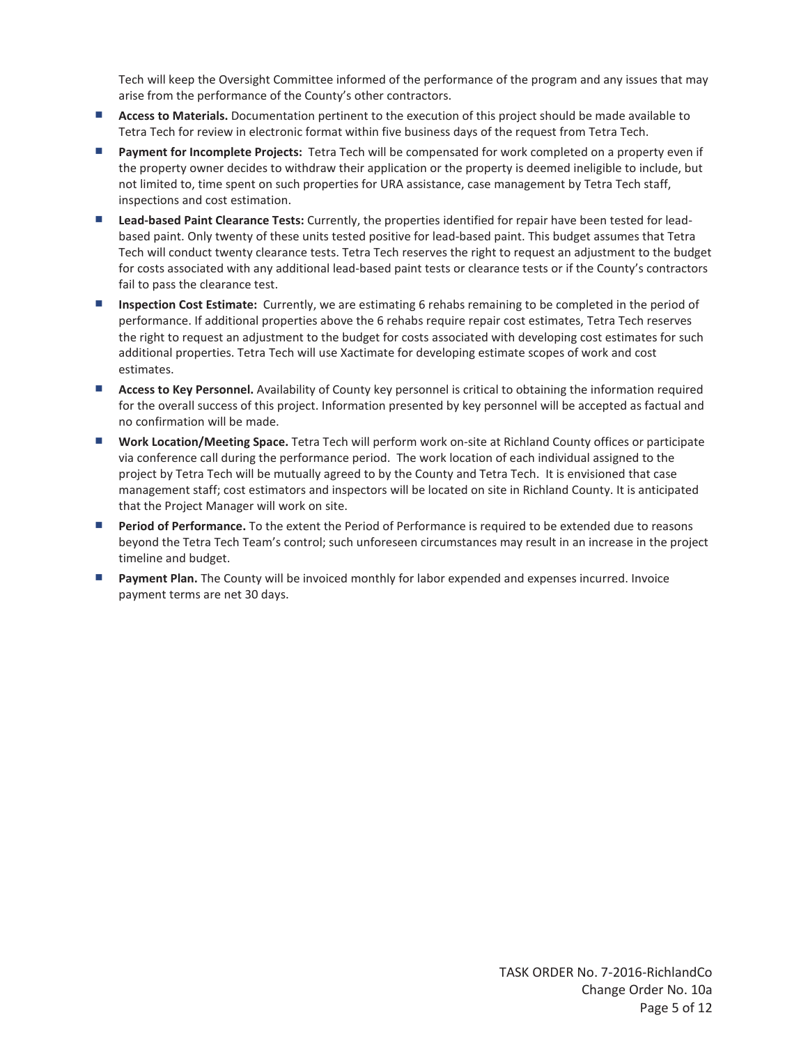Tech will keep the Oversight Committee informed of the performance of the program and any issues that may arise from the performance of the County's other contractors.

- **Access to Materials.** Documentation pertinent to the execution of this project should be made available to Tetra Tech for review in electronic format within five business days of the request from Tetra Tech.
- **Payment for Incomplete Projects:** Tetra Tech will be compensated for work completed on a property even if the property owner decides to withdraw their application or the property is deemed ineligible to include, but not limited to, time spent on such properties for URA assistance, case management by Tetra Tech staff, inspections and cost estimation.
- **Lead-based Paint Clearance Tests:** Currently, the properties identified for repair have been tested for leadbased paint. Only twenty of these units tested positive for lead-based paint. This budget assumes that Tetra Tech will conduct twenty clearance tests. Tetra Tech reserves the right to request an adjustment to the budget for costs associated with any additional lead-based paint tests or clearance tests or if the County's contractors fail to pass the clearance test.
- **Inspection Cost Estimate:** Currently, we are estimating 6 rehabs remaining to be completed in the period of performance. If additional properties above the 6 rehabs require repair cost estimates, Tetra Tech reserves the right to request an adjustment to the budget for costs associated with developing cost estimates for such additional properties. Tetra Tech will use Xactimate for developing estimate scopes of work and cost estimates.
- **Access to Key Personnel.** Availability of County key personnel is critical to obtaining the information required for the overall success of this project. Information presented by key personnel will be accepted as factual and no confirmation will be made.
- **Work Location/Meeting Space.** Tetra Tech will perform work on-site at Richland County offices or participate via conference call during the performance period. The work location of each individual assigned to the project by Tetra Tech will be mutually agreed to by the County and Tetra Tech. It is envisioned that case management staff; cost estimators and inspectors will be located on site in Richland County. It is anticipated that the Project Manager will work on site.
- **Period of Performance.** To the extent the Period of Performance is required to be extended due to reasons beyond the Tetra Tech Team's control; such unforeseen circumstances may result in an increase in the project timeline and budget.
- **Payment Plan.** The County will be invoiced monthly for labor expended and expenses incurred. Invoice payment terms are net 30 days.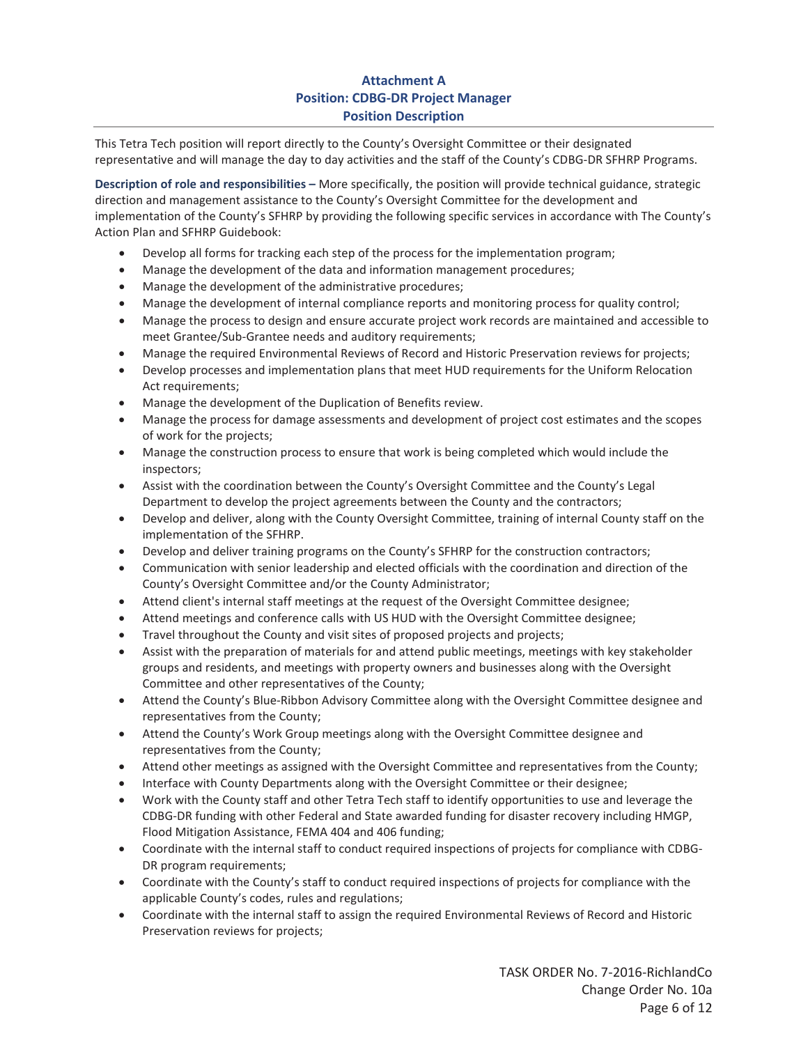# **Attachment A Position: CDBG-DR Project Manager Position Description**

This Tetra Tech position will report directly to the County's Oversight Committee or their designated representative and will manage the day to day activities and the staff of the County's CDBG-DR SFHRP Programs.

**Description of role and responsibilities –** More specifically, the position will provide technical guidance, strategic direction and management assistance to the County's Oversight Committee for the development and implementation of the County's SFHRP by providing the following specific services in accordance with The County's Action Plan and SFHRP Guidebook:

- **•** Develop all forms for tracking each step of the process for the implementation program;
- Manage the development of the data and information management procedures;
- Manage the development of the administrative procedures;
- Manage the development of internal compliance reports and monitoring process for quality control;
- Manage the process to design and ensure accurate project work records are maintained and accessible to meet Grantee/Sub-Grantee needs and auditory requirements;
- Manage the required Environmental Reviews of Record and Historic Preservation reviews for projects;
- Develop processes and implementation plans that meet HUD requirements for the Uniform Relocation Act requirements;
- Manage the development of the Duplication of Benefits review.
- Manage the process for damage assessments and development of project cost estimates and the scopes of work for the projects;
- Manage the construction process to ensure that work is being completed which would include the inspectors;
- Assist with the coordination between the County's Oversight Committee and the County's Legal Department to develop the project agreements between the County and the contractors;
- Develop and deliver, along with the County Oversight Committee, training of internal County staff on the implementation of the SFHRP.
- **•** Develop and deliver training programs on the County's SFHRP for the construction contractors;
- Communication with senior leadership and elected officials with the coordination and direction of the County's Oversight Committee and/or the County Administrator;
- Attend client's internal staff meetings at the request of the Oversight Committee designee;
- Attend meetings and conference calls with US HUD with the Oversight Committee designee;
- Travel throughout the County and visit sites of proposed projects and projects;
- Assist with the preparation of materials for and attend public meetings, meetings with key stakeholder groups and residents, and meetings with property owners and businesses along with the Oversight Committee and other representatives of the County;
- Attend the County's Blue-Ribbon Advisory Committee along with the Oversight Committee designee and representatives from the County;
- Attend the County's Work Group meetings along with the Oversight Committee designee and representatives from the County;
- Attend other meetings as assigned with the Oversight Committee and representatives from the County;
- Interface with County Departments along with the Oversight Committee or their designee;
- Work with the County staff and other Tetra Tech staff to identify opportunities to use and leverage the CDBG-DR funding with other Federal and State awarded funding for disaster recovery including HMGP, Flood Mitigation Assistance, FEMA 404 and 406 funding;
- x Coordinate with the internal staff to conduct required inspections of projects for compliance with CDBG-DR program requirements;
- Coordinate with the County's staff to conduct required inspections of projects for compliance with the applicable County's codes, rules and regulations;
- Coordinate with the internal staff to assign the required Environmental Reviews of Record and Historic Preservation reviews for projects;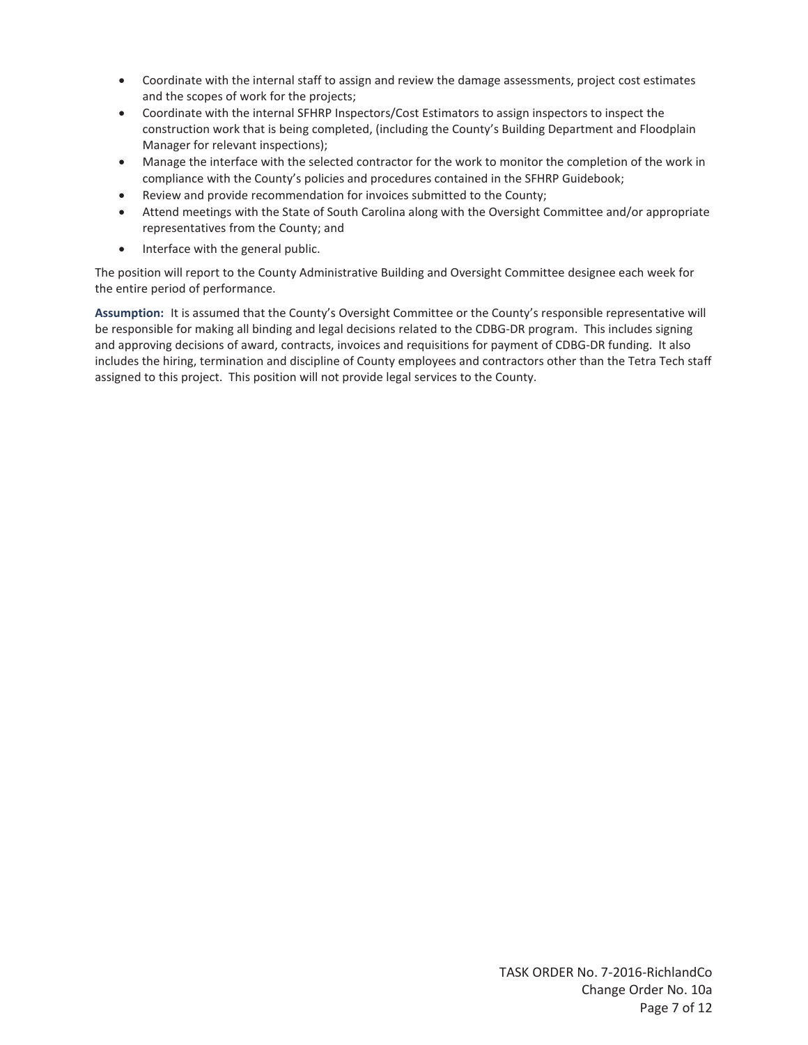- Coordinate with the internal staff to assign and review the damage assessments, project cost estimates and the scopes of work for the projects;
- Coordinate with the internal SFHRP Inspectors/Cost Estimators to assign inspectors to inspect the construction work that is being completed, (including the County's Building Department and Floodplain Manager for relevant inspections);
- Manage the interface with the selected contractor for the work to monitor the completion of the work in compliance with the County's policies and procedures contained in the SFHRP Guidebook;
- Review and provide recommendation for invoices submitted to the County;
- Attend meetings with the State of South Carolina along with the Oversight Committee and/or appropriate representatives from the County; and
- Interface with the general public.

The position will report to the County Administrative Building and Oversight Committee designee each week for the entire period of performance.

**Assumption:** It is assumed that the County's Oversight Committee or the County's responsible representative will be responsible for making all binding and legal decisions related to the CDBG-DR program. This includes signing and approving decisions of award, contracts, invoices and requisitions for payment of CDBG-DR funding. It also includes the hiring, termination and discipline of County employees and contractors other than the Tetra Tech staff assigned to this project. This position will not provide legal services to the County.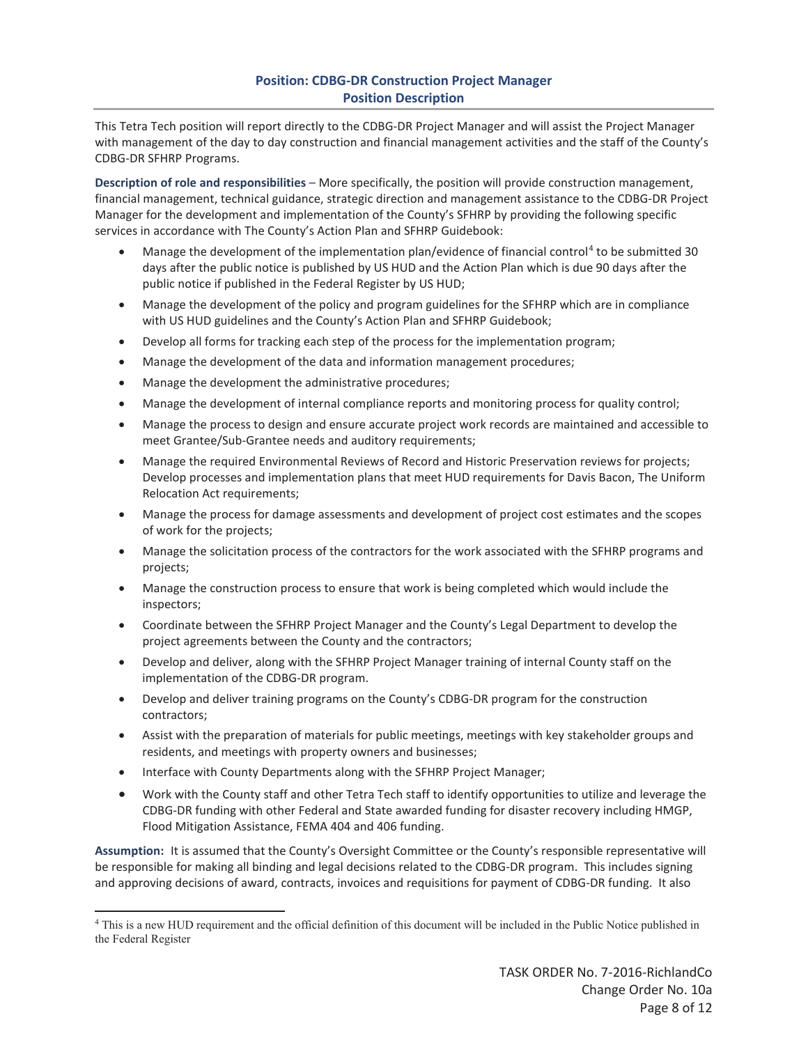## **Position: CDBG-DR Construction Project Manager Position Description**

This Tetra Tech position will report directly to the CDBG-DR Project Manager and will assist the Project Manager with management of the day to day construction and financial management activities and the staff of the County's CDBG-DR SFHRP Programs.

**Description of role and responsibilities** – More specifically, the position will provide construction management, financial management, technical guidance, strategic direction and management assistance to the CDBG-DR Project Manager for the development and implementation of the County's SFHRP by providing the following specific services in accordance with The County's Action Plan and SFHRP Guidebook:

- Manage the development of the implementation plan/evidence of financial control<sup>4</sup> to be submitted 30 days after the public notice is published by US HUD and the Action Plan which is due 90 days after the public notice if published in the Federal Register by US HUD;
- Manage the development of the policy and program guidelines for the SFHRP which are in compliance with US HUD guidelines and the County's Action Plan and SFHRP Guidebook;
- Develop all forms for tracking each step of the process for the implementation program;
- x Manage the development of the data and information management procedures;
- Manage the development the administrative procedures;
- Manage the development of internal compliance reports and monitoring process for quality control;
- Manage the process to design and ensure accurate project work records are maintained and accessible to meet Grantee/Sub-Grantee needs and auditory requirements;
- Manage the required Environmental Reviews of Record and Historic Preservation reviews for projects; Develop processes and implementation plans that meet HUD requirements for Davis Bacon, The Uniform Relocation Act requirements;
- Manage the process for damage assessments and development of project cost estimates and the scopes of work for the projects;
- Manage the solicitation process of the contractors for the work associated with the SFHRP programs and projects;
- Manage the construction process to ensure that work is being completed which would include the inspectors;
- Coordinate between the SFHRP Project Manager and the County's Legal Department to develop the project agreements between the County and the contractors;
- Develop and deliver, along with the SFHRP Project Manager training of internal County staff on the implementation of the CDBG-DR program.
- Develop and deliver training programs on the County's CDBG-DR program for the construction contractors;
- Assist with the preparation of materials for public meetings, meetings with key stakeholder groups and residents, and meetings with property owners and businesses;
- Interface with County Departments along with the SFHRP Project Manager;

 $\overline{a}$ 

Work with the County staff and other Tetra Tech staff to identify opportunities to utilize and leverage the CDBG-DR funding with other Federal and State awarded funding for disaster recovery including HMGP, Flood Mitigation Assistance, FEMA 404 and 406 funding.

**Assumption:** It is assumed that the County's Oversight Committee or the County's responsible representative will be responsible for making all binding and legal decisions related to the CDBG-DR program. This includes signing and approving decisions of award, contracts, invoices and requisitions for payment of CDBG-DR funding. It also

<sup>4</sup> This is a new HUD requirement and the official definition of this document will be included in the Public Notice published in the Federal Register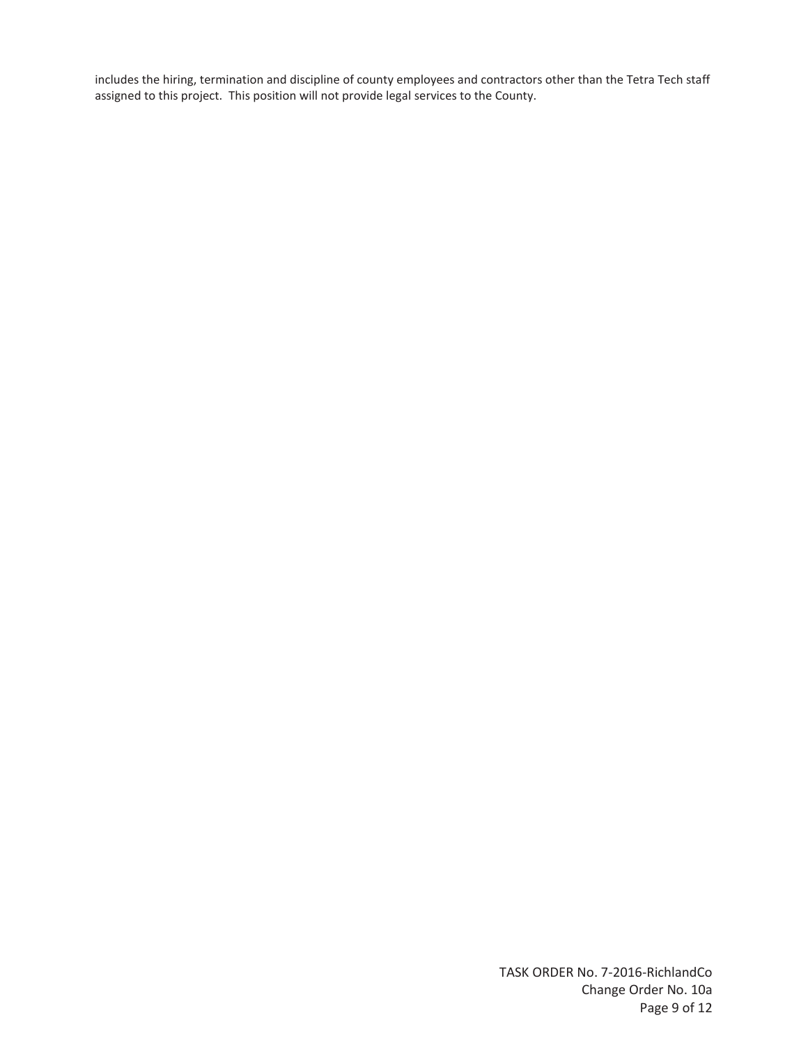includes the hiring, termination and discipline of county employees and contractors other than the Tetra Tech staff assigned to this project. This position will not provide legal services to the County.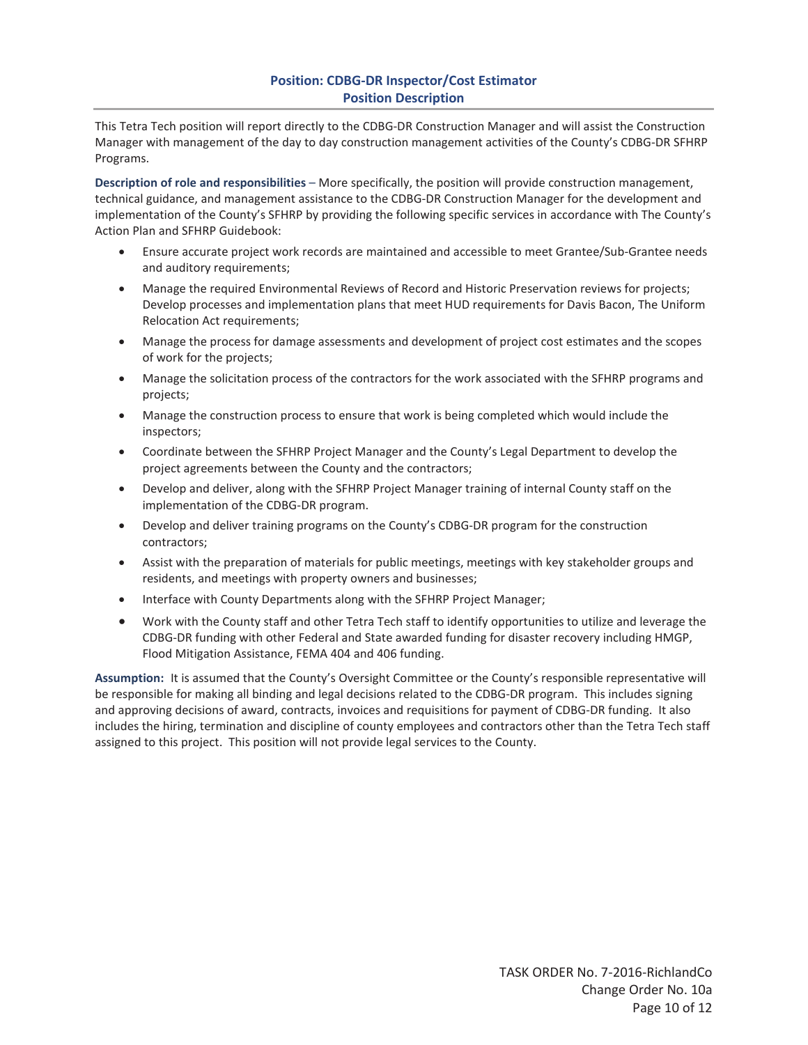## **Position: CDBG-DR Inspector/Cost Estimator Position Description**

This Tetra Tech position will report directly to the CDBG-DR Construction Manager and will assist the Construction Manager with management of the day to day construction management activities of the County's CDBG-DR SFHRP Programs.

**Description of role and responsibilities** – More specifically, the position will provide construction management, technical guidance, and management assistance to the CDBG-DR Construction Manager for the development and implementation of the County's SFHRP by providing the following specific services in accordance with The County's Action Plan and SFHRP Guidebook:

- **Ensure accurate project work records are maintained and accessible to meet Grantee/Sub-Grantee needs** and auditory requirements;
- Manage the required Environmental Reviews of Record and Historic Preservation reviews for projects; Develop processes and implementation plans that meet HUD requirements for Davis Bacon, The Uniform Relocation Act requirements;
- Manage the process for damage assessments and development of project cost estimates and the scopes of work for the projects;
- Manage the solicitation process of the contractors for the work associated with the SFHRP programs and projects;
- Manage the construction process to ensure that work is being completed which would include the inspectors;
- Coordinate between the SFHRP Project Manager and the County's Legal Department to develop the project agreements between the County and the contractors;
- Develop and deliver, along with the SFHRP Project Manager training of internal County staff on the implementation of the CDBG-DR program.
- Develop and deliver training programs on the County's CDBG-DR program for the construction contractors;
- Assist with the preparation of materials for public meetings, meetings with key stakeholder groups and residents, and meetings with property owners and businesses;
- Interface with County Departments along with the SFHRP Project Manager;
- Work with the County staff and other Tetra Tech staff to identify opportunities to utilize and leverage the CDBG-DR funding with other Federal and State awarded funding for disaster recovery including HMGP, Flood Mitigation Assistance, FEMA 404 and 406 funding.

**Assumption:** It is assumed that the County's Oversight Committee or the County's responsible representative will be responsible for making all binding and legal decisions related to the CDBG-DR program. This includes signing and approving decisions of award, contracts, invoices and requisitions for payment of CDBG-DR funding. It also includes the hiring, termination and discipline of county employees and contractors other than the Tetra Tech staff assigned to this project. This position will not provide legal services to the County.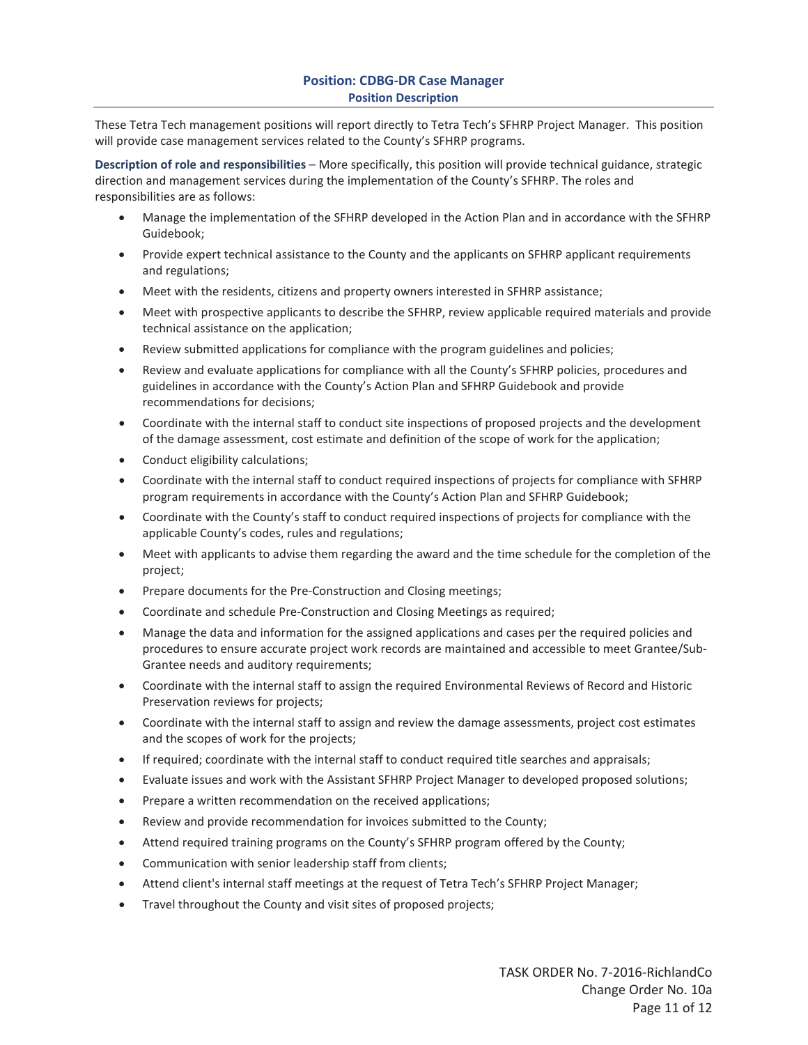## **Position: CDBG-DR Case Manager Position Description**

These Tetra Tech management positions will report directly to Tetra Tech's SFHRP Project Manager. This position will provide case management services related to the County's SFHRP programs.

**Description of role and responsibilities** – More specifically, this position will provide technical guidance, strategic direction and management services during the implementation of the County's SFHRP. The roles and responsibilities are as follows:

- x Manage the implementation of the SFHRP developed in the Action Plan and in accordance with the SFHRP Guidebook;
- Provide expert technical assistance to the County and the applicants on SFHRP applicant requirements and regulations;
- Meet with the residents, citizens and property owners interested in SFHRP assistance;
- Meet with prospective applicants to describe the SFHRP, review applicable required materials and provide technical assistance on the application;
- Review submitted applications for compliance with the program guidelines and policies;
- Review and evaluate applications for compliance with all the County's SFHRP policies, procedures and guidelines in accordance with the County's Action Plan and SFHRP Guidebook and provide recommendations for decisions;
- Coordinate with the internal staff to conduct site inspections of proposed projects and the development of the damage assessment, cost estimate and definition of the scope of work for the application;
- Conduct eligibility calculations;
- Coordinate with the internal staff to conduct required inspections of projects for compliance with SFHRP program requirements in accordance with the County's Action Plan and SFHRP Guidebook;
- Coordinate with the County's staff to conduct required inspections of projects for compliance with the applicable County's codes, rules and regulations;
- Meet with applicants to advise them regarding the award and the time schedule for the completion of the project;
- Prepare documents for the Pre-Construction and Closing meetings;
- Coordinate and schedule Pre-Construction and Closing Meetings as required;
- Manage the data and information for the assigned applications and cases per the required policies and procedures to ensure accurate project work records are maintained and accessible to meet Grantee/Sub-Grantee needs and auditory requirements;
- Coordinate with the internal staff to assign the required Environmental Reviews of Record and Historic Preservation reviews for projects;
- Coordinate with the internal staff to assign and review the damage assessments, project cost estimates and the scopes of work for the projects;
- If required; coordinate with the internal staff to conduct required title searches and appraisals;
- Evaluate issues and work with the Assistant SFHRP Project Manager to developed proposed solutions;
- Prepare a written recommendation on the received applications;
- Review and provide recommendation for invoices submitted to the County;
- Attend required training programs on the County's SFHRP program offered by the County;
- Communication with senior leadership staff from clients;
- Attend client's internal staff meetings at the request of Tetra Tech's SFHRP Project Manager;
- Travel throughout the County and visit sites of proposed projects;